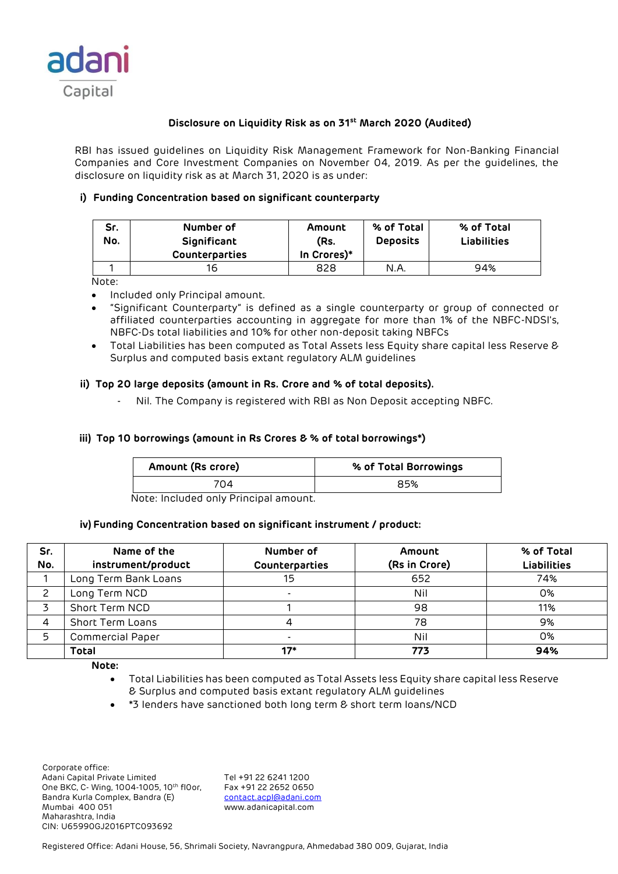

# **Disclosure on Liquidity Risk as on 31st March 2020 (Audited)**

RBI has issued guidelines on Liquidity Risk Management Framework for Non-Banking Financial Companies and Core Investment Companies on November 04, 2019. As per the guidelines, the disclosure on liquidity risk as at March 31, 2020 is as under:

# **i) Funding Concentration based on significant counterparty**

| Sr.<br>No. | Number of<br>Significant<br><b>Counterparties</b> | Amount<br>(Rs.<br>In Crores)* | % of Total<br><b>Deposits</b> | % of Total<br><b>Liabilities</b> |
|------------|---------------------------------------------------|-------------------------------|-------------------------------|----------------------------------|
|            | 16                                                | 828                           | N.A.                          | 94%                              |

Note:

- Included only Principal amount.
- "Significant Counterparty" is defined as a single counterparty or group of connected or affiliated counterparties accounting in aggregate for more than 1% of the NBFC-NDSI's, NBFC-Ds total liabilities and 10% for other non-deposit taking NBFCs
- Total Liabilities has been computed as Total Assets less Equity share capital less Reserve & Surplus and computed basis extant regulatory ALM guidelines

## **ii) Top 20 large deposits (amount in Rs. Crore and % of total deposits).**

Nil. The Company is registered with RBI as Non Deposit accepting NBFC.

## **iii) Top 10 borrowings (amount in Rs Crores & % of total borrowings\*)**

| Amount (Rs crore) | % of Total Borrowings |
|-------------------|-----------------------|
| 7በ4               | 85%                   |

Note: Included only Principal amount.

#### **iv) Funding Concentration based on significant instrument / product:**

| Sr.<br>No. | Name of the<br>instrument/product | Number of<br>Counterparties | Amount<br>(Rs in Crore) | % of Total<br><b>Liabilities</b> |
|------------|-----------------------------------|-----------------------------|-------------------------|----------------------------------|
|            | Long Term Bank Loans              | 15                          | 652                     | 74%                              |
|            | Long Term NCD                     |                             | Nil                     | 0%                               |
|            | Short Term NCD                    |                             | 98                      | 11%                              |
|            | <b>Short Term Loans</b>           |                             | 78                      | 9%                               |
| 5          | <b>Commercial Paper</b>           |                             | Nil                     | 0%                               |
|            | <b>Total</b>                      | $17*$                       | 773                     | 94%                              |

**Note:** 

- Total Liabilities has been computed as Total Assets less Equity share capital less Reserve & Surplus and computed basis extant regulatory ALM guidelines
- \*3 lenders have sanctioned both long term & short term loans/NCD

 Corporate office: Adani Capital Private Limited Tel +91 22 6241 1200<br>One BKC, C- Wing, 1004-1005, 10th flOor, Fax +91 22 2652 0650 One BKC, C- Wing, 1004-1005, 10th fl0or, Bandra Kurla Complex, Bandra (E) [contact.acpl@adani.com](mailto:contact.acpl@adani.com) Mumbai 400 051 www.adanicapital.com Maharashtra, India CIN: U65990GJ2016PTC093692